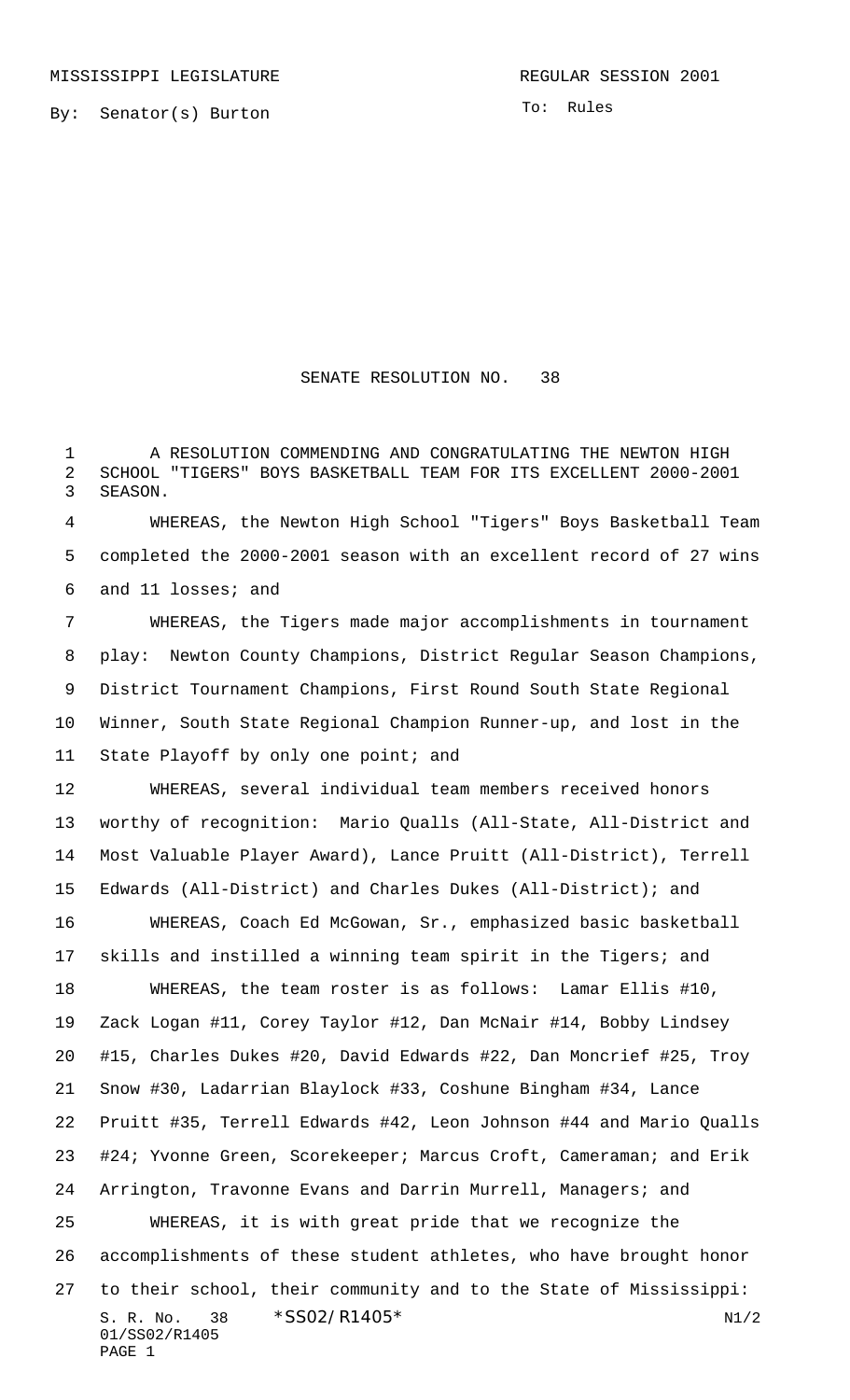By: Senator(s) Burton

To: Rules

## SENATE RESOLUTION NO. 38

1 A RESOLUTION COMMENDING AND CONGRATULATING THE NEWTON HIGH SCHOOL "TIGERS" BOYS BASKETBALL TEAM FOR ITS EXCELLENT 2000-2001 SEASON.

 WHEREAS, the Newton High School "Tigers" Boys Basketball Team completed the 2000-2001 season with an excellent record of 27 wins and 11 losses; and

 WHEREAS, the Tigers made major accomplishments in tournament play: Newton County Champions, District Regular Season Champions, District Tournament Champions, First Round South State Regional Winner, South State Regional Champion Runner-up, and lost in the 11 State Playoff by only one point; and

 WHEREAS, several individual team members received honors worthy of recognition: Mario Qualls (All-State, All-District and Most Valuable Player Award), Lance Pruitt (All-District), Terrell Edwards (All-District) and Charles Dukes (All-District); and

S. R. No.  $38 \times$   $$SO2/R1405*$  N1/2 01/SS02/R1405 PAGE 1 WHEREAS, Coach Ed McGowan, Sr., emphasized basic basketball skills and instilled a winning team spirit in the Tigers; and WHEREAS, the team roster is as follows: Lamar Ellis #10, Zack Logan #11, Corey Taylor #12, Dan McNair #14, Bobby Lindsey #15, Charles Dukes #20, David Edwards #22, Dan Moncrief #25, Troy Snow #30, Ladarrian Blaylock #33, Coshune Bingham #34, Lance Pruitt #35, Terrell Edwards #42, Leon Johnson #44 and Mario Qualls #24; Yvonne Green, Scorekeeper; Marcus Croft, Cameraman; and Erik Arrington, Travonne Evans and Darrin Murrell, Managers; and WHEREAS, it is with great pride that we recognize the accomplishments of these student athletes, who have brought honor to their school, their community and to the State of Mississippi: